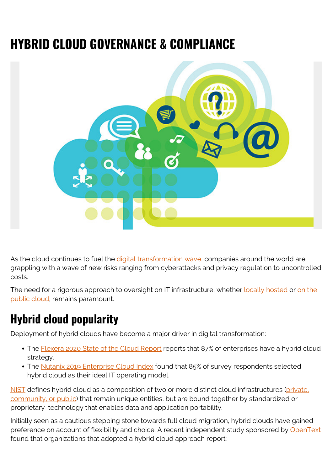# **HYBRID CLOUD GOVERNANCE & COMPLIANCE**



As the cloud continues to fuel the [digital transformation wave,](https://blogs.bmc.com/blogs/what-is-digital-transformation/) companies around the world are grappling with a wave of new risks ranging from cyberattacks and privacy regulation to uncontrolled costs.

The need for a rigorous approach to oversight on IT infrastructure, whether <u>locally hosted</u> or [on the](https://blogs.bmc.com/blogs/cloud-infrastructure/) [public cloud,](https://blogs.bmc.com/blogs/cloud-infrastructure/) remains paramount.

# **Hybrid cloud popularity**

Deployment of hybrid clouds have become a major driver in digital transformation:

- The [Flexera 2020 State of the Cloud Report](https://www.flexera.com/blog/industry-trends/trend-of-cloud-computing-2020/) reports that 87% of enterprises have a hybrid cloud strategy.
- The [Nutanix 2019 Enterprise Cloud Index](https://www.nutanix.com/enterprise-cloud-index) found that 85% of survey respondents selected hybrid cloud as their ideal IT operating model.

[NIST](https://csrc.nist.gov/publications/detail/sp/800-145/final) defines hybrid cloud as a composition of two or more distinct cloud infrastructures ([private,](https://blogs.bmc.com/blogs/public-private-hybrid-cloud/) [community, or public](https://blogs.bmc.com/blogs/public-private-hybrid-cloud/)) that remain unique entities, but are bound together by standardized or proprietary technology that enables data and application portability.

Initially seen as a cautious stepping stone towards full cloud migration, hybrid clouds have gained preference on account of flexibility and choice. A recent independent study sponsored by [OpenText](https://www.opentext.com/about/press-releases?id=D609B37E87CE4A2BA1FF6F5F0321DE15) found that organizations that adopted a hybrid cloud approach report: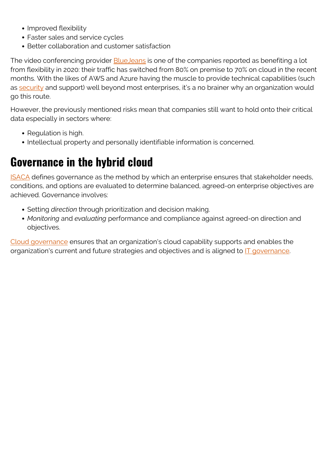- Improved flexibility
- Faster sales and service cycles
- Better collaboration and customer satisfaction

The video conferencing provider **BlueJeans** is one of the companies reported as benefiting a lot from flexibility in 2020: their traffic has switched from 80% on premise to 70% on cloud in the recent months. With the likes of AWS and Azure having the muscle to provide technical capabilities (such as [security](https://blogs.bmc.com/blogs/security-vulnerability-vs-threat-vs-risk-whats-difference/) and support) well beyond most enterprises, it's a no brainer why an organization would go this route.

However, the previously mentioned risks mean that companies still want to hold onto their critical data especially in sectors where:

- Regulation is high.
- Intellectual property and personally identifiable information is concerned.

### **Governance in the hybrid cloud**

**[ISACA](https://www.isaca.org/resources/glossary)** defines governance as the method by which an enterprise ensures that stakeholder needs, conditions, and options are evaluated to determine balanced, agreed-on enterprise objectives are achieved. Governance involves:

- Setting *direction* through prioritization and decision making.
- *Monitoring* and *evaluating* performance and compliance against agreed-on direction and objectives.

[Cloud governance](https://blogs.bmc.com/blogs/cloud-governance-vs-cloud-management-whats-the-difference/) ensures that an organization's cloud capability supports and enables the organization's current and future strategies and objectives and is aligned to **IT** governance.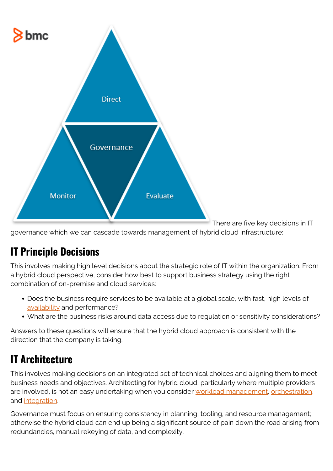

There are five key decisions in IT

governance which we can cascade towards management of hybrid cloud infrastructure:

#### **IT Principle Decisions**

This involves making high level decisions about the strategic role of IT within the organization. From a hybrid cloud perspective, consider how best to support business strategy using the right combination of on-premise and cloud services:

- Does the business require services to be available at a global scale, with fast, high levels of [availability](https://blogs.bmc.com/blogs/service-availability-calculation-metrics/) and performance?
- What are the business risks around data access due to regulation or sensitivity considerations?

Answers to these questions will ensure that the hybrid cloud approach is consistent with the direction that the company is taking.

#### **IT Architecture**

This involves making decisions on an integrated set of technical choices and aligning them to meet business needs and objectives. Architecting for hybrid cloud, particularly where multiple providers are involved, is not an easy undertaking when you consider [workload management](https://blogs.bmc.com/blogs/what-is-workload-automation/), [orchestration](https://blogs.bmc.com/blogs/it-orchestration-vs-automation-whats-the-difference/), and [integration](https://blogs.bmc.com/blogs/workflow-orchestration-vs-continuous-integration-whats-the-difference/).

Governance must focus on ensuring consistency in planning, tooling, and resource management; otherwise the hybrid cloud can end up being a significant source of pain down the road arising from redundancies, manual rekeying of data, and complexity.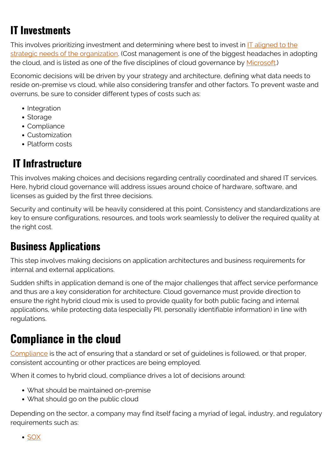## **IT Investments**

This involves prioritizing investment and determining where best to invest in **IT** aligned to the [strategic needs of the organization.](https://blogs.bmc.com/blogs/it-business-alignment/) (Cost management is one of the biggest headaches in adopting the cloud, and is listed as one of the five disciplines of cloud governance by [Microsoft.](https://docs.microsoft.com/en-us/azure/cloud-adoption-framework/govern/cost-management/))

Economic decisions will be driven by your strategy and architecture, defining what data needs to reside on-premise vs cloud, while also considering transfer and other factors. To prevent waste and overruns, be sure to consider different types of costs such as:

- Integration
- Storage
- Compliance
- Customization
- Platform costs

# **IT Infrastructure**

This involves making choices and decisions regarding centrally coordinated and shared IT services. Here, hybrid cloud governance will address issues around choice of hardware, software, and licenses as guided by the first three decisions.

Security and continuity will be heavily considered at this point. Consistency and standardizations are key to ensure configurations, resources, and tools work seamlessly to deliver the required quality at the right cost.

#### **Business Applications**

This step involves making decisions on application architectures and business requirements for internal and external applications.

Sudden shifts in application demand is one of the major challenges that affect service performance and thus are a key consideration for architecture. Cloud governance must provide direction to ensure the right hybrid cloud mix is used to provide quality for both public facing and internal applications, while protecting data (especially PII, personally identifiable information) in line with regulations.

# **Compliance in the cloud**

[Compliance](https://blogs.bmc.com/blogs/grc-governance-risk-compliance/) is the act of ensuring that a standard or set of guidelines is followed, or that proper, consistent accounting or other practices are being employed.

When it comes to hybrid cloud, compliance drives a lot of decisions around:

- What should be maintained on-premise
- What should go on the public cloud

Depending on the sector, a company may find itself facing a myriad of legal, industry, and regulatory requirements such as:

• [SOX](https://blogs.bmc.com/blogs/security-sox-compliance/)